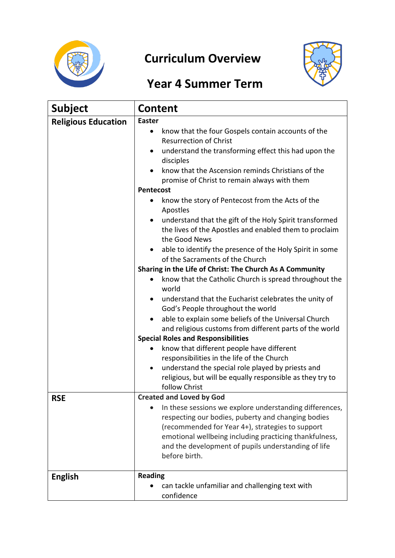

## **Curriculum Overview**



## **Year 4 Summer Term**

| <b>Subject</b>             | <b>Content</b>                                                                                                                 |  |  |  |
|----------------------------|--------------------------------------------------------------------------------------------------------------------------------|--|--|--|
| <b>Religious Education</b> | <b>Easter</b>                                                                                                                  |  |  |  |
|                            | know that the four Gospels contain accounts of the                                                                             |  |  |  |
|                            | <b>Resurrection of Christ</b>                                                                                                  |  |  |  |
|                            | understand the transforming effect this had upon the<br>disciples                                                              |  |  |  |
|                            | know that the Ascension reminds Christians of the                                                                              |  |  |  |
|                            | promise of Christ to remain always with them                                                                                   |  |  |  |
|                            | Pentecost                                                                                                                      |  |  |  |
|                            | know the story of Pentecost from the Acts of the<br>$\bullet$<br>Apostles                                                      |  |  |  |
|                            | understand that the gift of the Holy Spirit transformed<br>$\bullet$<br>the lives of the Apostles and enabled them to proclaim |  |  |  |
|                            | the Good News                                                                                                                  |  |  |  |
|                            | able to identify the presence of the Holy Spirit in some                                                                       |  |  |  |
|                            | of the Sacraments of the Church                                                                                                |  |  |  |
|                            | Sharing in the Life of Christ: The Church As A Community                                                                       |  |  |  |
|                            | know that the Catholic Church is spread throughout the<br>world                                                                |  |  |  |
|                            | understand that the Eucharist celebrates the unity of                                                                          |  |  |  |
|                            | God's People throughout the world                                                                                              |  |  |  |
|                            | able to explain some beliefs of the Universal Church                                                                           |  |  |  |
|                            | and religious customs from different parts of the world                                                                        |  |  |  |
|                            | <b>Special Roles and Responsibilities</b>                                                                                      |  |  |  |
|                            | know that different people have different                                                                                      |  |  |  |
|                            | responsibilities in the life of the Church                                                                                     |  |  |  |
|                            | understand the special role played by priests and<br>$\bullet$                                                                 |  |  |  |
|                            | religious, but will be equally responsible as they try to                                                                      |  |  |  |
|                            | follow Christ                                                                                                                  |  |  |  |
| <b>RSE</b>                 | <b>Created and Loved by God</b>                                                                                                |  |  |  |
|                            | In these sessions we explore understanding differences,                                                                        |  |  |  |
|                            | respecting our bodies, puberty and changing bodies<br>(recommended for Year 4+), strategies to support                         |  |  |  |
|                            | emotional wellbeing including practicing thankfulness,                                                                         |  |  |  |
|                            | and the development of pupils understanding of life                                                                            |  |  |  |
|                            | before birth.                                                                                                                  |  |  |  |
|                            |                                                                                                                                |  |  |  |
| <b>English</b>             | <b>Reading</b>                                                                                                                 |  |  |  |
|                            | can tackle unfamiliar and challenging text with                                                                                |  |  |  |
|                            | confidence                                                                                                                     |  |  |  |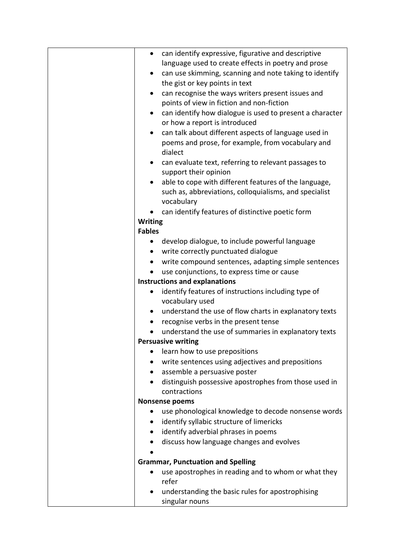| can identify expressive, figurative and descriptive<br>$\bullet$      |
|-----------------------------------------------------------------------|
| language used to create effects in poetry and prose                   |
| can use skimming, scanning and note taking to identify<br>$\bullet$   |
| the gist or key points in text                                        |
| can recognise the ways writers present issues and<br>$\bullet$        |
| points of view in fiction and non-fiction                             |
| can identify how dialogue is used to present a character<br>$\bullet$ |
| or how a report is introduced                                         |
| can talk about different aspects of language used in<br>$\bullet$     |
| poems and prose, for example, from vocabulary and                     |
| dialect                                                               |
| can evaluate text, referring to relevant passages to                  |
| support their opinion                                                 |
| able to cope with different features of the language,                 |
| such as, abbreviations, colloquialisms, and specialist                |
| vocabulary                                                            |
| can identify features of distinctive poetic form                      |
| <b>Writing</b>                                                        |
| <b>Fables</b>                                                         |
| develop dialogue, to include powerful language<br>$\bullet$           |
| write correctly punctuated dialogue<br>$\bullet$                      |
| write compound sentences, adapting simple sentences<br>$\bullet$      |
| use conjunctions, to express time or cause                            |
| <b>Instructions and explanations</b>                                  |
| identify features of instructions including type of                   |
| vocabulary used                                                       |
| understand the use of flow charts in explanatory texts<br>$\bullet$   |
| recognise verbs in the present tense                                  |
| understand the use of summaries in explanatory texts                  |
| <b>Persuasive writing</b>                                             |
| learn how to use prepositions                                         |
| write sentences using adjectives and prepositions                     |
| assemble a persuasive poster                                          |
| distinguish possessive apostrophes from those used in                 |
| contractions                                                          |
| <b>Nonsense poems</b>                                                 |
| use phonological knowledge to decode nonsense words                   |
| identify syllabic structure of limericks                              |
| identify adverbial phrases in poems                                   |
| discuss how language changes and evolves                              |
|                                                                       |
| <b>Grammar, Punctuation and Spelling</b>                              |
| use apostrophes in reading and to whom or what they<br>refer          |
|                                                                       |
| understanding the basic rules for apostrophising<br>singular nouns    |
|                                                                       |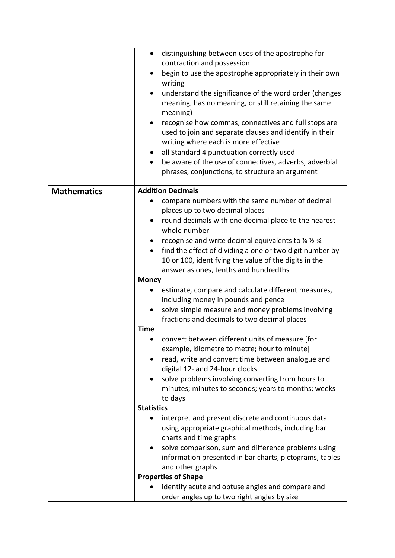|                    | distinguishing between uses of the apostrophe for<br>$\bullet$                                                 |
|--------------------|----------------------------------------------------------------------------------------------------------------|
|                    | contraction and possession                                                                                     |
|                    | begin to use the apostrophe appropriately in their own<br>writing                                              |
|                    | understand the significance of the word order (changes<br>$\bullet$                                            |
|                    | meaning, has no meaning, or still retaining the same                                                           |
|                    | meaning)                                                                                                       |
|                    | recognise how commas, connectives and full stops are<br>$\bullet$                                              |
|                    | used to join and separate clauses and identify in their                                                        |
|                    | writing where each is more effective                                                                           |
|                    | all Standard 4 punctuation correctly used                                                                      |
|                    | be aware of the use of connectives, adverbs, adverbial<br>$\bullet$                                            |
|                    | phrases, conjunctions, to structure an argument                                                                |
| <b>Mathematics</b> | <b>Addition Decimals</b>                                                                                       |
|                    | compare numbers with the same number of decimal                                                                |
|                    | places up to two decimal places                                                                                |
|                    | round decimals with one decimal place to the nearest<br>$\bullet$<br>whole number                              |
|                    | recognise and write decimal equivalents to $\frac{1}{2}$ % $\frac{3}{4}$<br>$\bullet$                          |
|                    | find the effect of dividing a one or two digit number by<br>$\bullet$                                          |
|                    | 10 or 100, identifying the value of the digits in the                                                          |
|                    | answer as ones, tenths and hundredths                                                                          |
|                    | <b>Money</b>                                                                                                   |
|                    | estimate, compare and calculate different measures,                                                            |
|                    | including money in pounds and pence                                                                            |
|                    | solve simple measure and money problems involving                                                              |
|                    | fractions and decimals to two decimal places                                                                   |
|                    | <b>Time</b>                                                                                                    |
|                    | convert between different units of measure [for                                                                |
|                    | example, kilometre to metre; hour to minute]                                                                   |
|                    | read, write and convert time between analogue and                                                              |
|                    | digital 12- and 24-hour clocks                                                                                 |
|                    | solve problems involving converting from hours to                                                              |
|                    | minutes; minutes to seconds; years to months; weeks                                                            |
|                    | to days                                                                                                        |
|                    | <b>Statistics</b>                                                                                              |
|                    | interpret and present discrete and continuous data                                                             |
|                    | using appropriate graphical methods, including bar<br>charts and time graphs                                   |
|                    |                                                                                                                |
|                    | solve comparison, sum and difference problems using<br>information presented in bar charts, pictograms, tables |
|                    | and other graphs                                                                                               |
|                    | <b>Properties of Shape</b>                                                                                     |
|                    | identify acute and obtuse angles and compare and                                                               |
|                    | order angles up to two right angles by size                                                                    |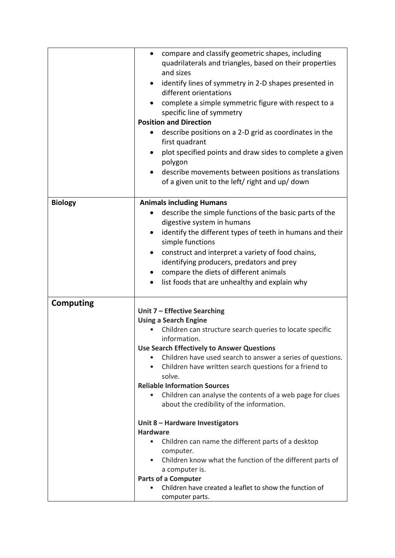|                  | compare and classify geometric shapes, including<br>٠<br>quadrilaterals and triangles, based on their properties<br>and sizes<br>identify lines of symmetry in 2-D shapes presented in<br>different orientations<br>complete a simple symmetric figure with respect to a<br>specific line of symmetry<br><b>Position and Direction</b><br>describe positions on a 2-D grid as coordinates in the<br>first quadrant<br>plot specified points and draw sides to complete a given<br>polygon<br>describe movements between positions as translations<br>of a given unit to the left/ right and up/ down |
|------------------|------------------------------------------------------------------------------------------------------------------------------------------------------------------------------------------------------------------------------------------------------------------------------------------------------------------------------------------------------------------------------------------------------------------------------------------------------------------------------------------------------------------------------------------------------------------------------------------------------|
| <b>Biology</b>   | <b>Animals including Humans</b>                                                                                                                                                                                                                                                                                                                                                                                                                                                                                                                                                                      |
|                  | describe the simple functions of the basic parts of the<br>digestive system in humans<br>identify the different types of teeth in humans and their                                                                                                                                                                                                                                                                                                                                                                                                                                                   |
|                  | simple functions                                                                                                                                                                                                                                                                                                                                                                                                                                                                                                                                                                                     |
|                  | construct and interpret a variety of food chains,<br>$\bullet$                                                                                                                                                                                                                                                                                                                                                                                                                                                                                                                                       |
|                  | identifying producers, predators and prey<br>compare the diets of different animals                                                                                                                                                                                                                                                                                                                                                                                                                                                                                                                  |
|                  | list foods that are unhealthy and explain why                                                                                                                                                                                                                                                                                                                                                                                                                                                                                                                                                        |
|                  |                                                                                                                                                                                                                                                                                                                                                                                                                                                                                                                                                                                                      |
| <b>Computing</b> |                                                                                                                                                                                                                                                                                                                                                                                                                                                                                                                                                                                                      |
|                  | Unit 7 - Effective Searching<br><b>Using a Search Engine</b>                                                                                                                                                                                                                                                                                                                                                                                                                                                                                                                                         |
|                  | Children can structure search queries to locate specific<br>information.                                                                                                                                                                                                                                                                                                                                                                                                                                                                                                                             |
|                  | <b>Use Search Effectively to Answer Questions</b>                                                                                                                                                                                                                                                                                                                                                                                                                                                                                                                                                    |
|                  | Children have used search to answer a series of questions.                                                                                                                                                                                                                                                                                                                                                                                                                                                                                                                                           |
|                  | Children have written search questions for a friend to<br>solve.                                                                                                                                                                                                                                                                                                                                                                                                                                                                                                                                     |
|                  | <b>Reliable Information Sources</b>                                                                                                                                                                                                                                                                                                                                                                                                                                                                                                                                                                  |
|                  | Children can analyse the contents of a web page for clues<br>$\bullet$                                                                                                                                                                                                                                                                                                                                                                                                                                                                                                                               |
|                  | about the credibility of the information.                                                                                                                                                                                                                                                                                                                                                                                                                                                                                                                                                            |
|                  | Unit 8 - Hardware Investigators                                                                                                                                                                                                                                                                                                                                                                                                                                                                                                                                                                      |
|                  | <b>Hardware</b><br>Children can name the different parts of a desktop                                                                                                                                                                                                                                                                                                                                                                                                                                                                                                                                |
|                  | computer.                                                                                                                                                                                                                                                                                                                                                                                                                                                                                                                                                                                            |
|                  | Children know what the function of the different parts of<br>$\bullet$                                                                                                                                                                                                                                                                                                                                                                                                                                                                                                                               |
|                  | a computer is.                                                                                                                                                                                                                                                                                                                                                                                                                                                                                                                                                                                       |
|                  | <b>Parts of a Computer</b><br>Children have created a leaflet to show the function of                                                                                                                                                                                                                                                                                                                                                                                                                                                                                                                |
|                  | computer parts.                                                                                                                                                                                                                                                                                                                                                                                                                                                                                                                                                                                      |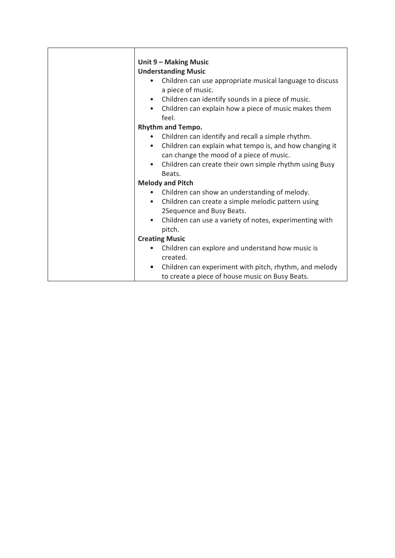|           | Unit 9 - Making Music                                                                               |
|-----------|-----------------------------------------------------------------------------------------------------|
|           | <b>Understanding Music</b>                                                                          |
|           | Children can use appropriate musical language to discuss<br>a piece of music.                       |
| $\bullet$ | Children can identify sounds in a piece of music.                                                   |
| $\bullet$ | Children can explain how a piece of music makes them<br>feel.                                       |
|           | <b>Rhythm and Tempo.</b>                                                                            |
| $\bullet$ | Children can identify and recall a simple rhythm.                                                   |
| $\bullet$ | Children can explain what tempo is, and how changing it<br>can change the mood of a piece of music. |
| $\bullet$ | Children can create their own simple rhythm using Busy                                              |
|           | Beats.                                                                                              |
|           | <b>Melody and Pitch</b>                                                                             |
|           | Children can show an understanding of melody.<br>$\bullet$                                          |
| $\bullet$ | Children can create a simple melodic pattern using<br>2Sequence and Busy Beats.                     |
| $\bullet$ | Children can use a variety of notes, experimenting with<br>pitch.                                   |
|           | <b>Creating Music</b>                                                                               |
| $\bullet$ | Children can explore and understand how music is<br>created.                                        |
| $\bullet$ | Children can experiment with pitch, rhythm, and melody                                              |
|           | to create a piece of house music on Busy Beats.                                                     |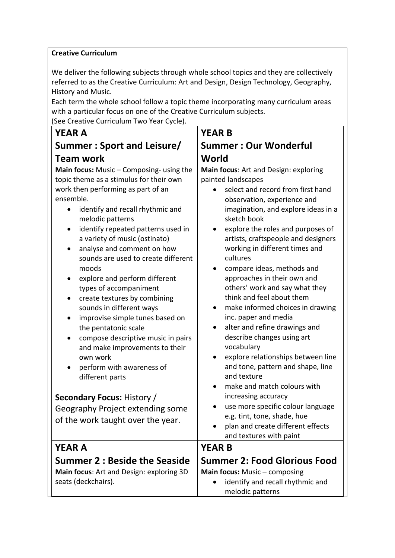#### **Creative Curriculum**

We deliver the following subjects through whole school topics and they are collectively referred to as the Creative Curriculum: Art and Design, Design Technology, Geography, History and Music.

Each term the whole school follow a topic theme incorporating many curriculum areas with a particular focus on one of the Creative Curriculum subjects.

(See Creative Curriculum Two Year Cycle).

#### **YEAR A Summer : Sport and Leisure/ Team work**

**Main focus:** Music – Composing- using the topic theme as a stimulus for their own work then performing as part of an ensemble.

- identify and recall rhythmic and melodic patterns
- identify repeated patterns used in a variety of music (ostinato)
- analyse and comment on how sounds are used to create different moods
- explore and perform different types of accompaniment
- create textures by combining sounds in different ways
- improvise simple tunes based on the pentatonic scale
- compose descriptive music in pairs and make improvements to their own work
- perform with awareness of different parts

#### **Secondary Focus:** History /

Geography Project extending some of the work taught over the year.

#### **YEAR A**

# **Summer 2 : Beside the Seaside**

**Main focus**: Art and Design: exploring 3D seats (deckchairs).

### **YEAR B Summer : Our Wonderful World**

**Main focus**: Art and Design: exploring painted landscapes

- select and record from first hand observation, experience and imagination, and explore ideas in a sketch book
- explore the roles and purposes of artists, craftspeople and designers working in different times and cultures
- compare ideas, methods and approaches in their own and others' work and say what they think and feel about them
- make informed choices in drawing inc. paper and media
- alter and refine drawings and describe changes using art vocabulary
- explore relationships between line and tone, pattern and shape, line and texture
- make and match colours with increasing accuracy
- use more specific colour language e.g. tint, tone, shade, hue
- plan and create different effects and textures with paint

#### **YEAR B**

**Summer 2: Food Glorious Food**

**Main focus:** Music – composing

• identify and recall rhythmic and melodic patterns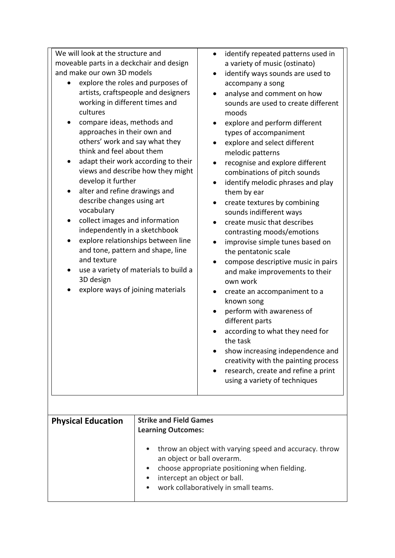| We will look at the structure and<br>moveable parts in a deckchair and design<br>and make our own 3D models<br>explore the roles and purposes of<br>artists, craftspeople and designers<br>working in different times and<br>cultures<br>compare ideas, methods and<br>approaches in their own and<br>others' work and say what they<br>think and feel about them<br>adapt their work according to their<br>views and describe how they might<br>develop it further<br>alter and refine drawings and<br>$\bullet$<br>describe changes using art<br>vocabulary<br>collect images and information<br>independently in a sketchbook<br>explore relationships between line<br>$\bullet$<br>and tone, pattern and shape, line<br>and texture<br>use a variety of materials to build a<br>$\bullet$<br>3D design<br>explore ways of joining materials<br><b>Strike and Field Games</b><br><b>Physical Education</b><br><b>Learning Outcomes:</b> |                                                            | $\bullet$<br>$\bullet$<br>$\bullet$<br>$\bullet$<br>$\bullet$ | identify repeated patterns used in<br>a variety of music (ostinato)<br>identify ways sounds are used to<br>accompany a song<br>analyse and comment on how<br>sounds are used to create different<br>moods<br>explore and perform different<br>types of accompaniment<br>explore and select different<br>melodic patterns<br>recognise and explore different<br>combinations of pitch sounds<br>identify melodic phrases and play<br>them by ear<br>create textures by combining<br>sounds indifferent ways<br>create music that describes<br>contrasting moods/emotions<br>improvise simple tunes based on<br>the pentatonic scale<br>compose descriptive music in pairs<br>and make improvements to their<br>own work<br>create an accompaniment to a<br>known song<br>perform with awareness of<br>different parts<br>according to what they need for<br>the task<br>show increasing independence and<br>creativity with the painting process<br>research, create and refine a print<br>using a variety of techniques |
|--------------------------------------------------------------------------------------------------------------------------------------------------------------------------------------------------------------------------------------------------------------------------------------------------------------------------------------------------------------------------------------------------------------------------------------------------------------------------------------------------------------------------------------------------------------------------------------------------------------------------------------------------------------------------------------------------------------------------------------------------------------------------------------------------------------------------------------------------------------------------------------------------------------------------------------------|------------------------------------------------------------|---------------------------------------------------------------|-------------------------------------------------------------------------------------------------------------------------------------------------------------------------------------------------------------------------------------------------------------------------------------------------------------------------------------------------------------------------------------------------------------------------------------------------------------------------------------------------------------------------------------------------------------------------------------------------------------------------------------------------------------------------------------------------------------------------------------------------------------------------------------------------------------------------------------------------------------------------------------------------------------------------------------------------------------------------------------------------------------------------|
|                                                                                                                                                                                                                                                                                                                                                                                                                                                                                                                                                                                                                                                                                                                                                                                                                                                                                                                                            | an object or ball overarm.<br>intercept an object or ball. |                                                               | throw an object with varying speed and accuracy. throw<br>choose appropriate positioning when fielding.<br>work collaboratively in small teams.                                                                                                                                                                                                                                                                                                                                                                                                                                                                                                                                                                                                                                                                                                                                                                                                                                                                         |
|                                                                                                                                                                                                                                                                                                                                                                                                                                                                                                                                                                                                                                                                                                                                                                                                                                                                                                                                            |                                                            |                                                               |                                                                                                                                                                                                                                                                                                                                                                                                                                                                                                                                                                                                                                                                                                                                                                                                                                                                                                                                                                                                                         |